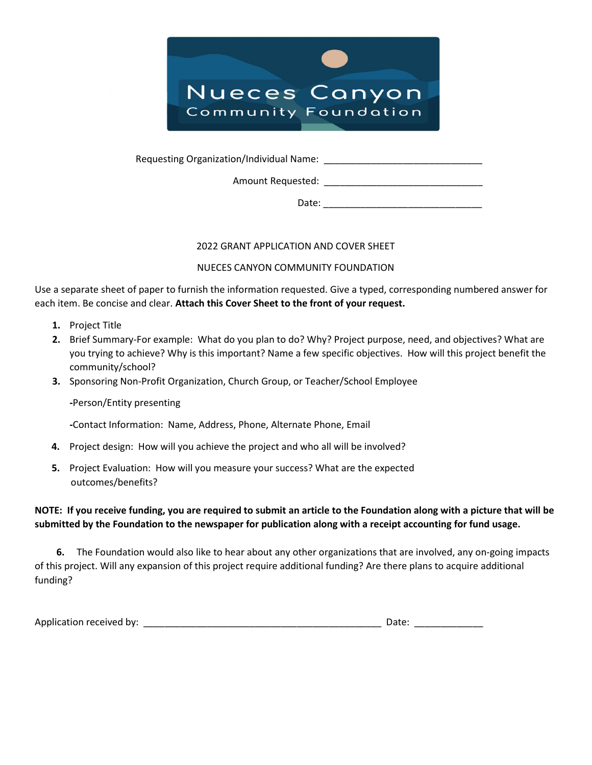

Requesting Organization/Individual Name:

Amount Requested:

Date:

### 2022 GRANT APPLICATION AND COVER SHEET

### NUECES CANYON COMMUNITY FOUNDATION

Use a separate sheet of paper to furnish the information requested. Give a typed, corresponding numbered answer for each item. Be concise and clear. Attach this Cover Sheet to the front of your request.

- 1. Project Title
- 2. Brief Summary-For example: What do you plan to do? Why? Project purpose, need, and objectives? What are you trying to achieve? Why is this important? Name a few specific objectives. How will this project benefit the community/school?
- 3. Sponsoring Non-Profit Organization, Church Group, or Teacher/School Employee

-Person/Entity presenting

-Contact Information: Name, Address, Phone, Alternate Phone, Email

- 4. Project design: How will you achieve the project and who all will be involved?
- 5. Project Evaluation: How will you measure your success? What are the expected outcomes/benefits?

# NOTE: If you receive funding, you are required to submit an article to the Foundation along with a picture that will be submitted by the Foundation to the newspaper for publication along with a receipt accounting for fund usage.

 6. The Foundation would also like to hear about any other organizations that are involved, any on-going impacts of this project. Will any expansion of this project require additional funding? Are there plans to acquire additional funding?

| Application received by: |  |  |
|--------------------------|--|--|
|--------------------------|--|--|